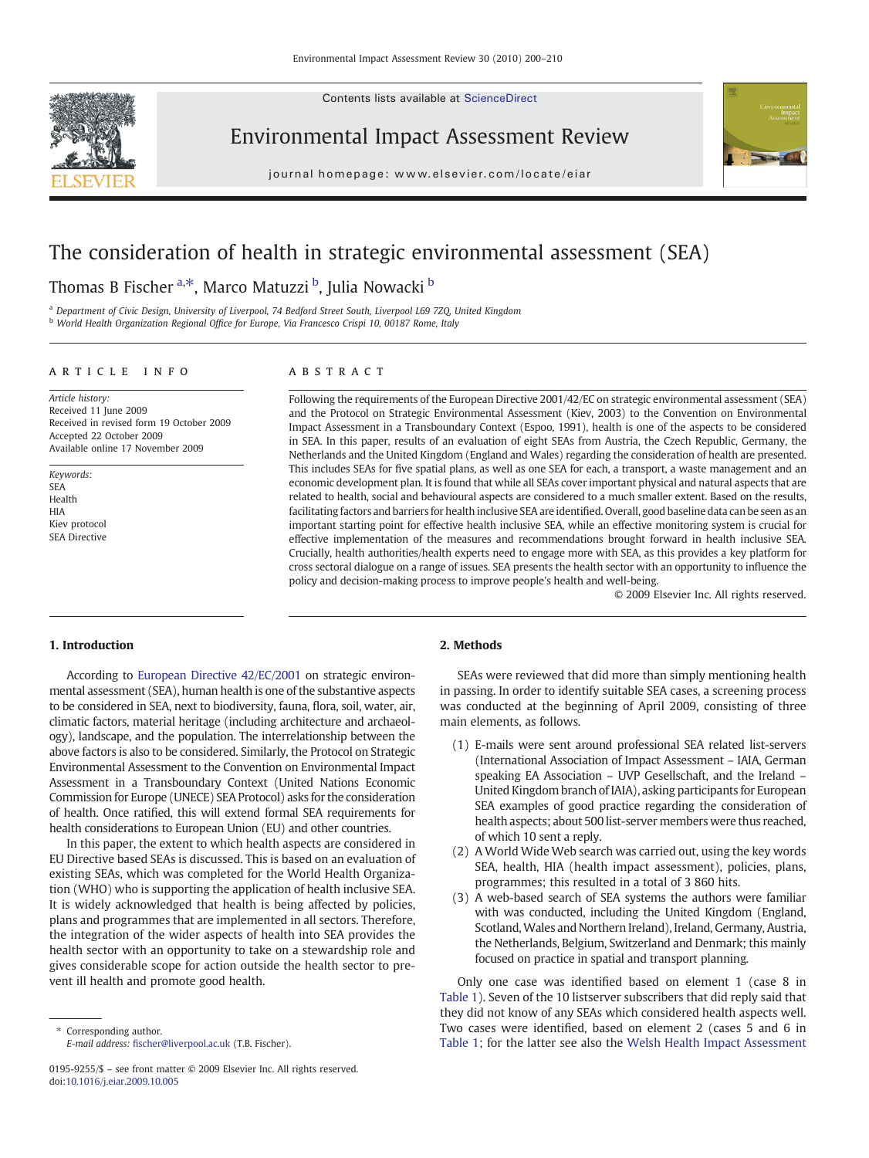Contents lists available at ScienceDirect



Environmental Impact Assessment Review



 $j$  or expression e even in the relation  $\alpha$ 

# The consideration of health in strategic environmental assessment (SEA)

## Thomas B Fischer <sup>a,\*</sup>, Marco Matuzzi <sup>b</sup>, Julia Nowacki <sup>b</sup>

a Department of Civic Design, University of Liverpool, 74 Bedford Street South, Liverpool L69 7ZQ, United Kingdom b World Health Organization Regional Office for Europe, Via Francesco Crispi 10, 00187 Rome, Italy

#### article info abstract

Article history: Received 11 June 2009 Received in revised form 19 October 2009 Accepted 22 October 2009 Available online 17 November 2009

Keywords: SEA Health HIA Kiev protocol SEA Directive

Following the requirements of the European Directive 2001/42/EC on strategic environmental assessment (SEA) and the Protocol on Strategic Environmental Assessment (Kiev, 2003) to the Convention on Environmental Impact Assessment in a Transboundary Context (Espoo, 1991), health is one of the aspects to be considered in SEA. In this paper, results of an evaluation of eight SEAs from Austria, the Czech Republic, Germany, the Netherlands and the United Kingdom (England and Wales) regarding the consideration of health are presented. This includes SEAs for five spatial plans, as well as one SEA for each, a transport, a waste management and an economic development plan. It is found that while all SEAs cover important physical and natural aspects that are related to health, social and behavioural aspects are considered to a much smaller extent. Based on the results, facilitating factors and barriers for health inclusive SEA are identified. Overall, good baseline data can be seen as an important starting point for effective health inclusive SEA, while an effective monitoring system is crucial for effective implementation of the measures and recommendations brought forward in health inclusive SEA. Crucially, health authorities/health experts need to engage more with SEA, as this provides a key platform for cross sectoral dialogue on a range of issues. SEA presents the health sector with an opportunity to influence the policy and decision-making process to improve people's health and well-being.

© 2009 Elsevier Inc. All rights reserved.

### 1. Introduction

According to [European Directive 42/EC/2001](#page--1-0) on strategic environmental assessment (SEA), human health is one of the substantive aspects to be considered in SEA, next to biodiversity, fauna, flora, soil, water, air, climatic factors, material heritage (including architecture and archaeology), landscape, and the population. The interrelationship between the above factors is also to be considered. Similarly, the Protocol on Strategic Environmental Assessment to the Convention on Environmental Impact Assessment in a Transboundary Context (United Nations Economic Commission for Europe (UNECE) SEA Protocol) asks for the consideration of health. Once ratified, this will extend formal SEA requirements for health considerations to European Union (EU) and other countries.

In this paper, the extent to which health aspects are considered in EU Directive based SEAs is discussed. This is based on an evaluation of existing SEAs, which was completed for the World Health Organization (WHO) who is supporting the application of health inclusive SEA. It is widely acknowledged that health is being affected by policies, plans and programmes that are implemented in all sectors. Therefore, the integration of the wider aspects of health into SEA provides the health sector with an opportunity to take on a stewardship role and gives considerable scope for action outside the health sector to prevent ill health and promote good health.

#### 2. Methods

SEAs were reviewed that did more than simply mentioning health in passing. In order to identify suitable SEA cases, a screening process was conducted at the beginning of April 2009, consisting of three main elements, as follows.

- (1) E-mails were sent around professional SEA related list-servers (International Association of Impact Assessment – IAIA, German speaking EA Association – UVP Gesellschaft, and the Ireland – United Kingdom branch of IAIA), asking participants for European SEA examples of good practice regarding the consideration of health aspects; about 500 list-server members were thus reached, of which 10 sent a reply.
- (2) A World Wide Web search was carried out, using the key words SEA, health, HIA (health impact assessment), policies, plans, programmes; this resulted in a total of 3 860 hits.
- (3) A web-based search of SEA systems the authors were familiar with was conducted, including the United Kingdom (England, Scotland, Wales and Northern Ireland), Ireland, Germany, Austria, the Netherlands, Belgium, Switzerland and Denmark; this mainly focused on practice in spatial and transport planning.

Only one case was identified based on element 1 (case 8 in [Table 1\)](#page-1-0). Seven of the 10 listserver subscribers that did reply said that they did not know of any SEAs which considered health aspects well. Two cases were identified, based on element 2 (cases 5 and 6 in [Table 1](#page-1-0); for the latter see also the [Welsh Health Impact Assessment](#page--1-0)

<sup>⁎</sup> Corresponding author. E-mail address: fi[scher@liverpool.ac.uk](mailto:fischer@liverpool.ac.uk) (T.B. Fischer).

<sup>0195-9255/\$</sup> – see front matter © 2009 Elsevier Inc. All rights reserved. doi[:10.1016/j.eiar.2009.10.005](http://dx.doi.org/10.1016/j.eiar.2009.10.005)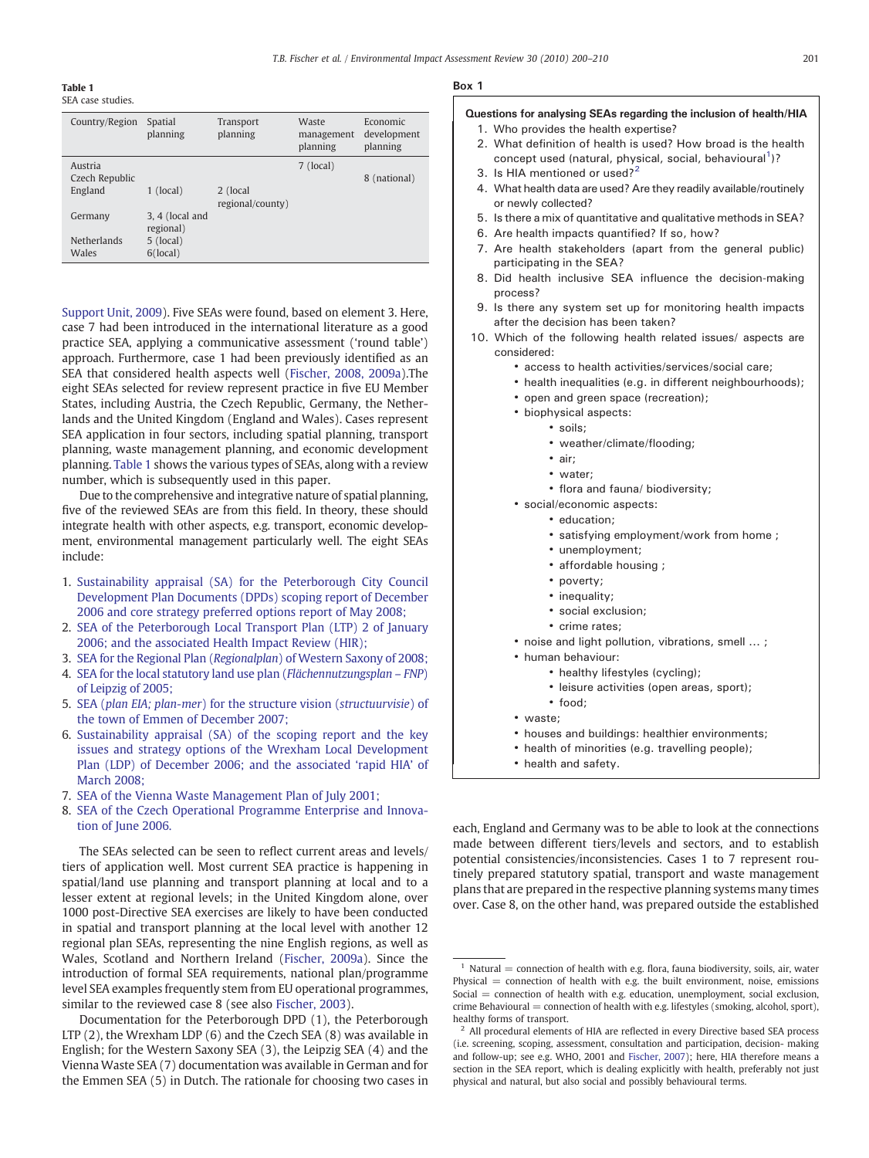### <span id="page-1-0"></span>Table 1

SEA case studies.

| Country/Region              | Spatial<br>planning            | Transport<br>planning        | Waste<br>management<br>planning | Economic<br>development<br>planning |
|-----------------------------|--------------------------------|------------------------------|---------------------------------|-------------------------------------|
| Austria<br>Czech Republic   |                                |                              | 7 (local)                       | 8 (national)                        |
| England                     | $1$ (local)                    | 2 (local<br>regional/county) |                                 |                                     |
| Germany                     | $3, 4$ (local and<br>regional) |                              |                                 |                                     |
| <b>Netherlands</b><br>Wales | $5$ (local)<br>6(local)        |                              |                                 |                                     |

[Support Unit, 2009](#page--1-0)). Five SEAs were found, based on element 3. Here, case 7 had been introduced in the international literature as a good practice SEA, applying a communicative assessment ('round table') approach. Furthermore, case 1 had been previously identified as an SEA that considered health aspects well ([Fischer, 2008, 2009a\)](#page--1-0).The eight SEAs selected for review represent practice in five EU Member States, including Austria, the Czech Republic, Germany, the Netherlands and the United Kingdom (England and Wales). Cases represent SEA application in four sectors, including spatial planning, transport planning, waste management planning, and economic development planning. Table 1 shows the various types of SEAs, along with a review number, which is subsequently used in this paper.

Due to the comprehensive and integrative nature of spatial planning, five of the reviewed SEAs are from this field. In theory, these should integrate health with other aspects, e.g. transport, economic development, environmental management particularly well. The eight SEAs include:

- 1. [Sustainability appraisal \(SA\) for the Peterborough City Council](#page--1-0) [Development Plan Documents \(DPDs\) scoping report of December](#page--1-0) [2006 and core strategy preferred options report of May 2008;](#page--1-0)
- 2. [SEA of the Peterborough Local Transport Plan \(LTP\) 2 of January](#page--1-0) [2006; and the associated Health Impact Review \(HIR\);](#page--1-0)
- 3. [SEA for the Regional Plan \(](#page--1-0)Regionalplan[\) of Western Saxony of 2008;](#page--1-0)
- 4. [SEA for the local statutory land use plan \(](#page--1-0)[Flächennutzungsplan](#page--1-0) FNP) [of Leipzig of 2005;](#page--1-0)
- 5. [SEA \(](#page--1-0)plan EIA; plan-mer[\) for the structure vision \(](#page--1-0)[structuurvisie](#page--1-0)) of [the town of Emmen of December 2007;](#page--1-0)
- 6. [Sustainability appraisal \(SA\) of the scoping report and the key](#page--1-0) [issues and strategy options of the Wrexham Local Development](#page--1-0) [Plan \(LDP\) of December 2006; and the associated](#page--1-0) 'rapid HIA' of [March 2008;](#page--1-0)
- 7. [SEA of the Vienna Waste Management Plan of July 2001;](#page--1-0)
- 8. [SEA of the Czech Operational Programme Enterprise and Innova](#page--1-0)[tion of June 2006.](#page--1-0)

The SEAs selected can be seen to reflect current areas and levels/ tiers of application well. Most current SEA practice is happening in spatial/land use planning and transport planning at local and to a lesser extent at regional levels; in the United Kingdom alone, over 1000 post-Directive SEA exercises are likely to have been conducted in spatial and transport planning at the local level with another 12 regional plan SEAs, representing the nine English regions, as well as Wales, Scotland and Northern Ireland ([Fischer, 2009a\)](#page--1-0). Since the introduction of formal SEA requirements, national plan/programme level SEA examples frequently stem from EU operational programmes, similar to the reviewed case 8 (see also [Fischer, 2003](#page--1-0)).

Documentation for the Peterborough DPD (1), the Peterborough LTP (2), the Wrexham LDP (6) and the Czech SEA (8) was available in English; for the Western Saxony SEA (3), the Leipzig SEA (4) and the Vienna Waste SEA (7) documentation was available in German and for the Emmen SEA (5) in Dutch. The rationale for choosing two cases in

#### Box 1

#### Questions for analysing SEAs regarding the inclusion of health/HIA

- 1. Who provides the health expertise?
- 2. What definition of health is used? How broad is the health concept used (natural, physical, social, behavioural<sup>1</sup>)?
- 3. Is HIA mentioned or used? $2^2$
- 4. What health data are used? Are they readily available/routinely or newly collected?
- 5. Is there a mix of quantitative and qualitative methods in SEA?
- 6. Are health impacts quantified? If so, how?
- 7. Are health stakeholders (apart from the general public) participating in the SEA?
- 8. Did health inclusive SEA influence the decision-making process?
- 9. Is there any system set up for monitoring health impacts after the decision has been taken?
- 10. Which of the following health related issues/ aspects are considered:
	- access to health activities/services/social care;
	- health inequalities (e.g. in different neighbourhoods);
	- open and green space (recreation);
	- biophysical aspects:
		- soils;
			- weather/climate/flooding;
			- air;
			- water;
			- flora and fauna/ biodiversity;
	- social/economic aspects:
		- education;
		- satisfying employment/work from home ;
		- unemployment;
		- affordable housing ;
		- poverty;
		- inequality;
		- social exclusion;
		- crime rates;
	- noise and light pollution, vibrations, smell ... ;
	- human behaviour:
		- healthy lifestyles (cycling);
		- leisure activities (open areas, sport);
		- food;
	- waste;
	- houses and buildings: healthier environments;
	- health of minorities (e.g. travelling people);
	- health and safety.

each, England and Germany was to be able to look at the connections made between different tiers/levels and sectors, and to establish potential consistencies/inconsistencies. Cases 1 to 7 represent routinely prepared statutory spatial, transport and waste management plans that are prepared in the respective planning systems many times over. Case 8, on the other hand, was prepared outside the established

<sup>&</sup>lt;sup>1</sup> Natural = connection of health with e.g. flora, fauna biodiversity, soils, air, water Physical  $=$  connection of health with e.g. the built environment, noise, emissions Social  $=$  connection of health with e.g. education, unemployment, social exclusion, crime Behavioural = connection of health with e.g. lifestyles (smoking, alcohol, sport), healthy forms of transport.

<sup>&</sup>lt;sup>2</sup> All procedural elements of HIA are reflected in every Directive based SEA process (i.e. screening, scoping, assessment, consultation and participation, decision- making and follow-up; see e.g. WHO, 2001 and [Fischer, 2007\)](#page--1-0); here, HIA therefore means a section in the SEA report, which is dealing explicitly with health, preferably not just physical and natural, but also social and possibly behavioural terms.